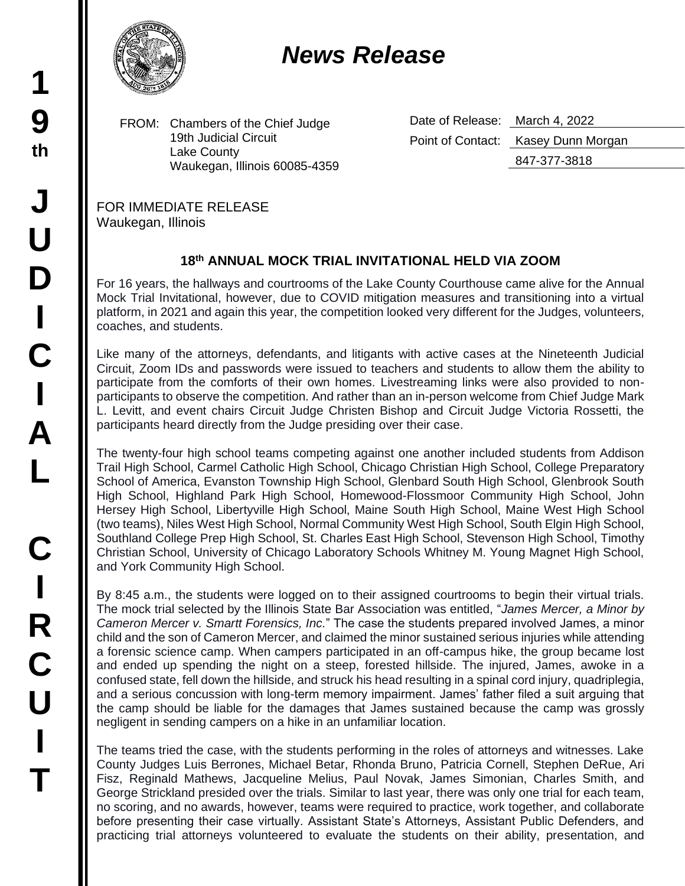## *News Release*

FROM: Chambers of the Chief Judge 19th Judicial Circuit Lake County Waukegan, Illinois 60085-4359 Date of Release: March 4, 2022 Point of Contact: Kasey Dunn Morgan 847-377-3818

FOR IMMEDIATE RELEASE Waukegan, Illinois

## **18 th ANNUAL MOCK TRIAL INVITATIONAL HELD VIA ZOOM**

For 16 years, the hallways and courtrooms of the Lake County Courthouse came alive for the Annual Mock Trial Invitational, however, due to COVID mitigation measures and transitioning into a virtual platform, in 2021 and again this year, the competition looked very different for the Judges, volunteers, coaches, and students.

Like many of the attorneys, defendants, and litigants with active cases at the Nineteenth Judicial Circuit, Zoom IDs and passwords were issued to teachers and students to allow them the ability to participate from the comforts of their own homes. Livestreaming links were also provided to nonparticipants to observe the competition. And rather than an in-person welcome from Chief Judge Mark L. Levitt, and event chairs Circuit Judge Christen Bishop and Circuit Judge Victoria Rossetti, the participants heard directly from the Judge presiding over their case.

The twenty-four high school teams competing against one another included students from Addison Trail High School, Carmel Catholic High School, Chicago Christian High School, College Preparatory School of America, Evanston Township High School, Glenbard South High School, Glenbrook South High School, Highland Park High School, Homewood-Flossmoor Community High School, John Hersey High School, Libertyville High School, Maine South High School, Maine West High School (two teams), Niles West High School, Normal Community West High School, South Elgin High School, Southland College Prep High School, St. Charles East High School, Stevenson High School, Timothy Christian School, University of Chicago Laboratory Schools Whitney M. Young Magnet High School, and York Community High School.

By 8:45 a.m., the students were logged on to their assigned courtrooms to begin their virtual trials. The mock trial selected by the Illinois State Bar Association was entitled, "*James Mercer, a Minor by Cameron Mercer v. Smartt Forensics, Inc.*" The case the students prepared involved James, a minor child and the son of Cameron Mercer, and claimed the minor sustained serious injuries while attending a forensic science camp. When campers participated in an off-campus hike, the group became lost and ended up spending the night on a steep, forested hillside. The injured, James, awoke in a confused state, fell down the hillside, and struck his head resulting in a spinal cord injury, quadriplegia, and a serious concussion with long-term memory impairment. James' father filed a suit arguing that the camp should be liable for the damages that James sustained because the camp was grossly negligent in sending campers on a hike in an unfamiliar location.

The teams tried the case, with the students performing in the roles of attorneys and witnesses. Lake County Judges Luis Berrones, Michael Betar, Rhonda Bruno, Patricia Cornell, Stephen DeRue, Ari Fisz, Reginald Mathews, Jacqueline Melius, Paul Novak, James Simonian, Charles Smith, and George Strickland presided over the trials. Similar to last year, there was only one trial for each team, no scoring, and no awards, however, teams were required to practice, work together, and collaborate before presenting their case virtually. Assistant State's Attorneys, Assistant Public Defenders, and practicing trial attorneys volunteered to evaluate the students on their ability, presentation, and